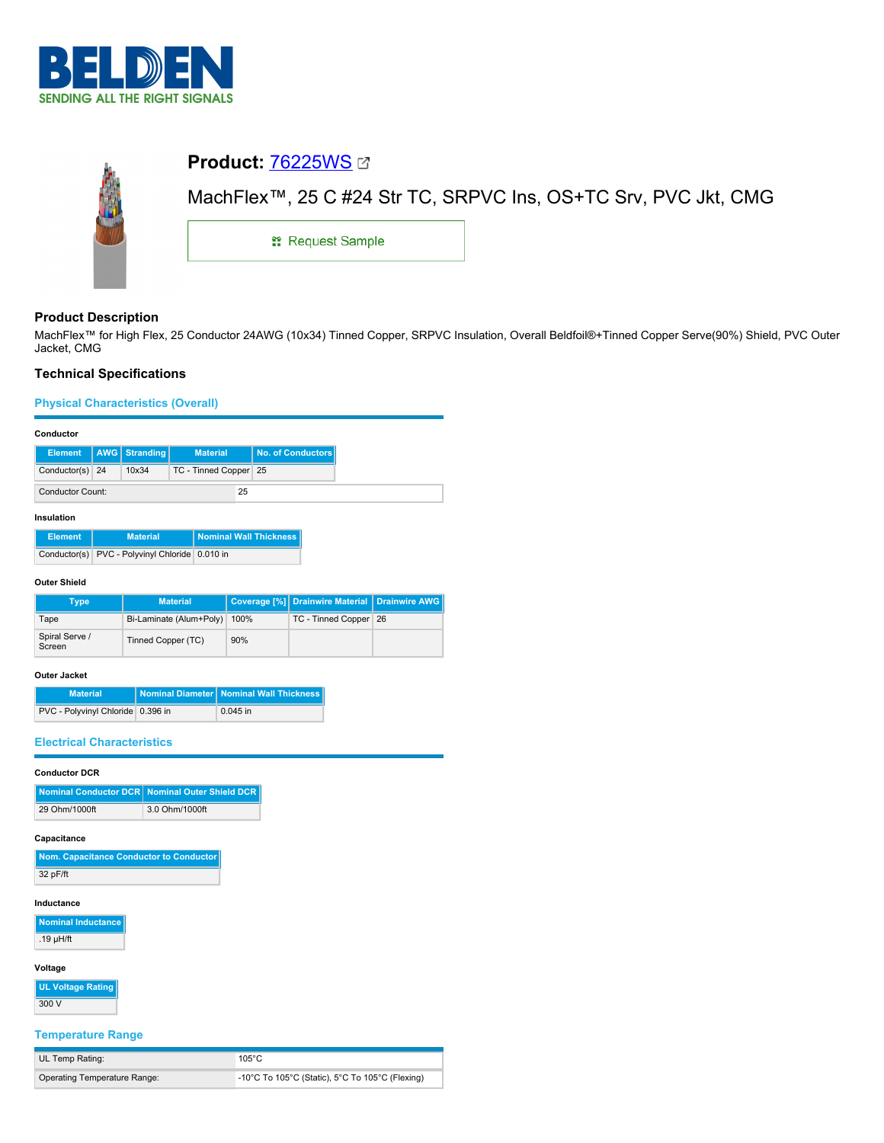



# **Product Description**

MachFlex™ for High Flex, 25 Conductor 24AWG (10x34) Tinned Copper, SRPVC Insulation, Overall Beldfoil®+Tinned Copper Serve(90%) Shield, PVC Outer Jacket, CMG

# **Technical Specifications**

# **Physical Characteristics (Overall)**

| Conductor |  |
|-----------|--|
|           |  |

|                         |  | Element   AWG   Stranding | <b>Material</b>       |  | No. of Conductors |
|-------------------------|--|---------------------------|-----------------------|--|-------------------|
| Conductor(s) 24         |  | 10x34                     | TC - Tinned Copper 25 |  |                   |
| <b>Conductor Count:</b> |  | 25                        |                       |  |                   |

### **Insulation**

| <b>Element</b> | <b>Material</b>                                | <b>Nominal Wall Thickness</b> |
|----------------|------------------------------------------------|-------------------------------|
|                | Conductor(s) PVC - Polyvinyl Chloride 0.010 in |                               |

### **Outer Shield**

| Type                     | <b>Material</b>         |      | Coverage [%] Drainwire Material Drainwire AWG |  |
|--------------------------|-------------------------|------|-----------------------------------------------|--|
| Tape                     | Bi-Laminate (Alum+Poly) | 100% | TC - Tinned Copper 26                         |  |
| Spiral Serve /<br>Screen | Tinned Copper (TC)      | 90%  |                                               |  |

### **Outer Jacket**

| <b>Material</b>                   | Nominal Diameter   Nominal Wall Thickness |
|-----------------------------------|-------------------------------------------|
| PVC - Polyvinyl Chloride 0.396 in | $0.045$ in                                |

## **Electrical Characteristics**

# **Conductor DCR**

|               | Nominal Conductor DCR Nominal Outer Shield DCR |
|---------------|------------------------------------------------|
| 29 Ohm/1000ft | 3.0 Ohm/1000ft                                 |

### **Capacitance**

| Nom. Capacitance Conductor to Conductor |
|-----------------------------------------|
| 32 pF/ft                                |

### **Inductance**

**Nominal Inductance** .19 µH/ft

# **Voltage**

**UL Voltage Rating** 300 V

## **Temperature Range**

| UL Temp Rating:              | $105^{\circ}$ C                                 |
|------------------------------|-------------------------------------------------|
| Operating Temperature Range: | -10°C To 105°C (Static), 5°C To 105°C (Flexing) |